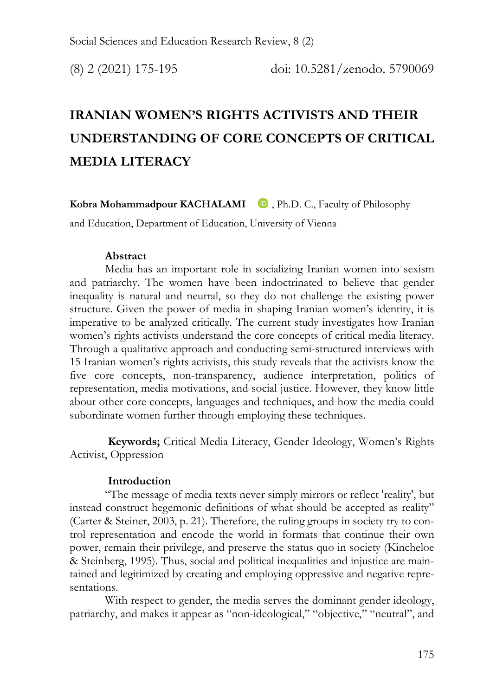# **IRANIAN WOMEN'S RIGHTS ACTIVISTS AND THEIR UNDERSTANDING OF CORE CONCEPTS OF CRITICAL MEDIA LITERACY**

**Kobra Mohammadpour KACHALA[MI](https://orcid.org/0000-0001-5840-4217)** , Ph.D. C., Faculty of Philosophy

and Education, Department of Education, University of Vienna

#### **Abstract**

Media has an important role in socializing Iranian women into sexism and patriarchy. The women have been indoctrinated to believe that gender inequality is natural and neutral, so they do not challenge the existing power structure. Given the power of media in shaping Iranian women's identity, it is imperative to be analyzed critically. The current study investigates how Iranian women's rights activists understand the core concepts of critical media literacy. Through a qualitative approach and conducting semi-structured interviews with 15 Iranian women's rights activists, this study reveals that the activists know the five core concepts, non-transparency, audience interpretation, politics of representation, media motivations, and social justice. However, they know little about other core concepts, languages and techniques, and how the media could subordinate women further through employing these techniques.

 **Keywords;** Critical Media Literacy, Gender Ideology, Women's Rights Activist, Oppression

#### **Introduction**

"The message of media texts never simply mirrors or reflect 'reality', but instead construct hegemonic definitions of what should be accepted as reality" (Carter & Steiner, 2003, p. 21). Therefore, the ruling groups in society try to control representation and encode the world in formats that continue their own power, remain their privilege, and preserve the status quo in society (Kincheloe & Steinberg, 1995). Thus, social and political inequalities and injustice are maintained and legitimized by creating and employing oppressive and negative representations.

With respect to gender, the media serves the dominant gender ideology, patriarchy, and makes it appear as "non-ideological," "objective," "neutral", and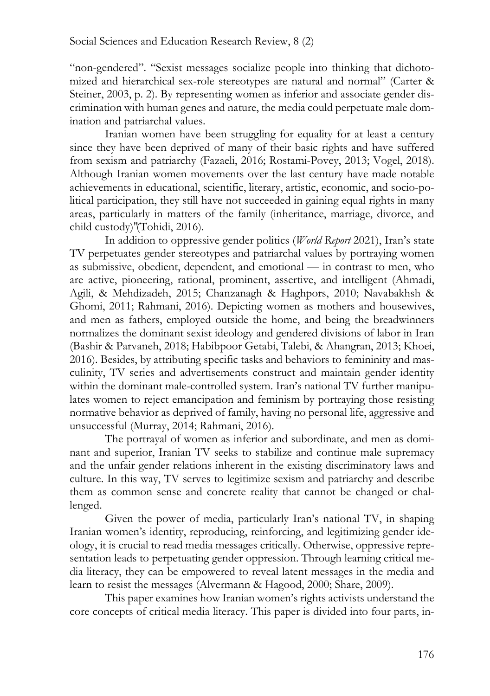"non-gendered". "Sexist messages socialize people into thinking that dichotomized and hierarchical sex-role stereotypes are natural and normal" (Carter & Steiner, 2003, p. 2). By representing women as inferior and associate gender discrimination with human genes and nature, the media could perpetuate male domination and patriarchal values.

Iranian women have been struggling for equality for at least a century since they have been deprived of many of their basic rights and have suffered from sexism and patriarchy (Fazaeli, 2016; Rostami-Povey, 2013; Vogel, 2018). Although Iranian women movements over the last century have made notable achievements in educational, scientific, literary, artistic, economic, and socio-political participation, they still have not succeeded in gaining equal rights in many areas, particularly in matters of the family (inheritance, marriage, divorce, and child custody)"(Tohidi, 2016).

In addition to oppressive gender politics (*World Report* 2021), Iran's state TV perpetuates gender stereotypes and patriarchal values by portraying women as submissive, obedient, dependent, and emotional — in contrast to men, who are active, pioneering, rational, prominent, assertive, and intelligent (Ahmadi, Agili, & Mehdizadeh, 2015; Chanzanagh & Haghpors, 2010; Navabakhsh & Ghomi, 2011; Rahmani, 2016). Depicting women as mothers and housewives, and men as fathers, employed outside the home, and being the breadwinners normalizes the dominant sexist ideology and gendered divisions of labor in Iran (Bashir & Parvaneh, 2018; Habibpoor Getabi, Talebi, & Ahangran, 2013; Khoei, 2016). Besides, by attributing specific tasks and behaviors to femininity and masculinity, TV series and advertisements construct and maintain gender identity within the dominant male-controlled system. Iran's national TV further manipulates women to reject emancipation and feminism by portraying those resisting normative behavior as deprived of family, having no personal life, aggressive and unsuccessful (Murray, 2014; Rahmani, 2016).

The portrayal of women as inferior and subordinate, and men as dominant and superior, Iranian TV seeks to stabilize and continue male supremacy and the unfair gender relations inherent in the existing discriminatory laws and culture. In this way, TV serves to legitimize sexism and patriarchy and describe them as common sense and concrete reality that cannot be changed or challenged.

Given the power of media, particularly Iran's national TV, in shaping Iranian women's identity, reproducing, reinforcing, and legitimizing gender ideology, it is crucial to read media messages critically. Otherwise, oppressive representation leads to perpetuating gender oppression. Through learning critical media literacy, they can be empowered to reveal latent messages in the media and learn to resist the messages (Alvermann & Hagood, 2000; Share, 2009).

This paper examines how Iranian women's rights activists understand the core concepts of critical media literacy. This paper is divided into four parts, in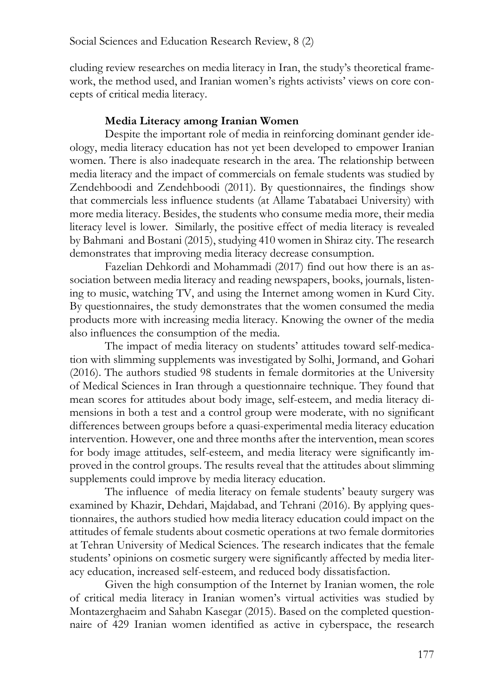cluding review researches on media literacy in Iran, the study's theoretical framework, the method used, and Iranian women's rights activists' views on core concepts of critical media literacy.

#### **Media Literacy among Iranian Women**

Despite the important role of media in reinforcing dominant gender ideology, media literacy education has not yet been developed to empower Iranian women. There is also inadequate research in the area. The relationship between media literacy and the impact of commercials on female students was studied by Zendehboodi and Zendehboodi (2011). By questionnaires, the findings show that commercials less influence students (at Allame Tabatabaei University) with more media literacy. Besides, the students who consume media more, their media literacy level is lower. Similarly, the positive effect of media literacy is revealed by Bahmani and Bostani (2015), studying 410 women in Shiraz city. The research demonstrates that improving media literacy decrease consumption.

Fazelian Dehkordi and Mohammadi (2017) find out how there is an association between media literacy and reading newspapers, books, journals, listening to music, watching TV, and using the Internet among women in Kurd City. By questionnaires, the study demonstrates that the women consumed the media products more with increasing media literacy. Knowing the owner of the media also influences the consumption of the media.

The impact of media literacy on students' attitudes toward self-medication with slimming supplements was investigated by Solhi, Jormand, and Gohari (2016). The authors studied 98 students in female dormitories at the University of Medical Sciences in Iran through a questionnaire technique. They found that mean scores for attitudes about body image, self-esteem, and media literacy dimensions in both a test and a control group were moderate, with no significant differences between groups before a quasi-experimental media literacy education intervention. However, one and three months after the intervention, mean scores for body image attitudes, self-esteem, and media literacy were significantly improved in the control groups. The results reveal that the attitudes about slimming supplements could improve by media literacy education.

The influence of media literacy on female students' beauty surgery was examined by Khazir, Dehdari, Majdabad, and Tehrani (2016). By applying questionnaires, the authors studied how media literacy education could impact on the attitudes of female students about cosmetic operations at two female dormitories at Tehran University of Medical Sciences. The research indicates that the female students' opinions on cosmetic surgery were significantly affected by media literacy education, increased self-esteem, and reduced body dissatisfaction.

Given the high consumption of the Internet by Iranian women, the role of critical media literacy in Iranian women's virtual activities was studied by Montazerghaeim and Sahabn Kasegar (2015). Based on the completed questionnaire of 429 Iranian women identified as active in cyberspace, the research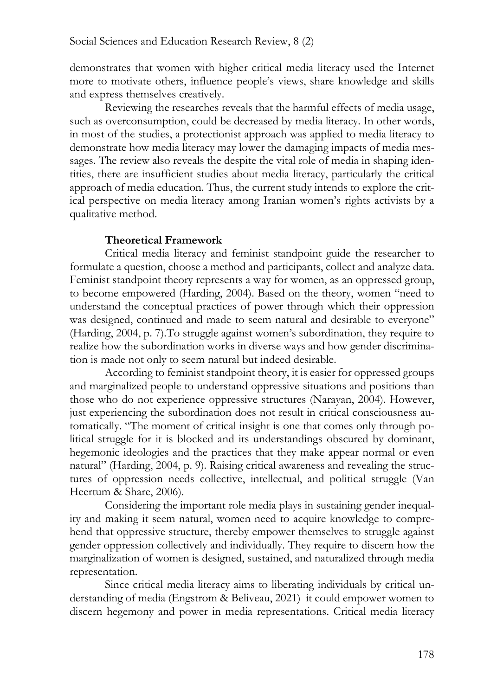demonstrates that women with higher critical media literacy used the Internet more to motivate others, influence people's views, share knowledge and skills and express themselves creatively.

Reviewing the researches reveals that the harmful effects of media usage, such as overconsumption, could be decreased by media literacy. In other words, in most of the studies, a protectionist approach was applied to media literacy to demonstrate how media literacy may lower the damaging impacts of media messages. The review also reveals the despite the vital role of media in shaping identities, there are insufficient studies about media literacy, particularly the critical approach of media education. Thus, the current study intends to explore the critical perspective on media literacy among Iranian women's rights activists by a qualitative method.

#### **Theoretical Framework**

Critical media literacy and feminist standpoint guide the researcher to formulate a question, choose a method and participants, collect and analyze data. Feminist standpoint theory represents a way for women, as an oppressed group, to become empowered (Harding, 2004). Based on the theory, women "need to understand the conceptual practices of power through which their oppression was designed, continued and made to seem natural and desirable to everyone" (Harding, 2004, p. 7).To struggle against women's subordination, they require to realize how the subordination works in diverse ways and how gender discrimination is made not only to seem natural but indeed desirable.

According to feminist standpoint theory, it is easier for oppressed groups and marginalized people to understand oppressive situations and positions than those who do not experience oppressive structures (Narayan, 2004). However, just experiencing the subordination does not result in critical consciousness automatically. "The moment of critical insight is one that comes only through political struggle for it is blocked and its understandings obscured by dominant, hegemonic ideologies and the practices that they make appear normal or even natural" (Harding, 2004, p. 9). Raising critical awareness and revealing the structures of oppression needs collective, intellectual, and political struggle (Van Heertum & Share, 2006).

Considering the important role media plays in sustaining gender inequality and making it seem natural, women need to acquire knowledge to comprehend that oppressive structure, thereby empower themselves to struggle against gender oppression collectively and individually. They require to discern how the marginalization of women is designed, sustained, and naturalized through media representation.

Since critical media literacy aims to liberating individuals by critical understanding of media (Engstrom & Beliveau, 2021) it could empower women to discern hegemony and power in media representations. Critical media literacy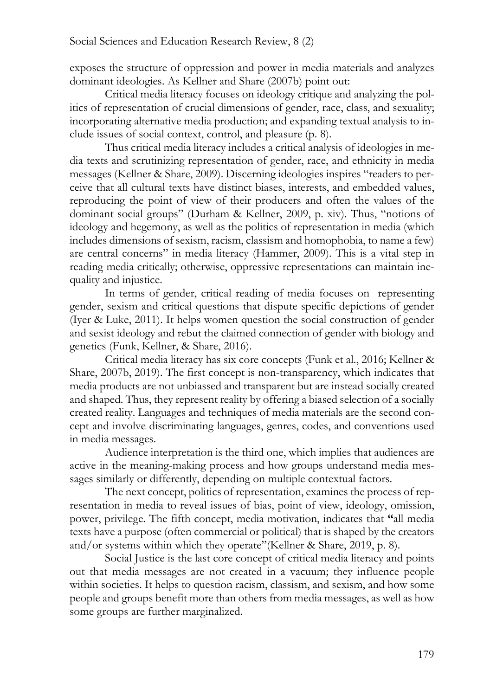exposes the structure of oppression and power in media materials and analyzes dominant ideologies. As Kellner and Share (2007b) point out:

Critical media literacy focuses on ideology critique and analyzing the politics of representation of crucial dimensions of gender, race, class, and sexuality; incorporating alternative media production; and expanding textual analysis to include issues of social context, control, and pleasure (p. 8).

Thus critical media literacy includes a critical analysis of ideologies in media texts and scrutinizing representation of gender, race, and ethnicity in media messages (Kellner & Share, 2009). Discerning ideologies inspires "readers to perceive that all cultural texts have distinct biases, interests, and embedded values, reproducing the point of view of their producers and often the values of the dominant social groups" (Durham & Kellner, 2009, p. xiv). Thus, "notions of ideology and hegemony, as well as the politics of representation in media (which includes dimensions of sexism, racism, classism and homophobia, to name a few) are central concerns" in media literacy (Hammer, 2009). This is a vital step in reading media critically; otherwise, oppressive representations can maintain inequality and injustice.

In terms of gender, critical reading of media focuses on representing gender, sexism and critical questions that dispute specific depictions of gender (Iyer & Luke, 2011). It helps women question the social construction of gender and sexist ideology and rebut the claimed connection of gender with biology and genetics (Funk, Kellner, & Share, 2016).

Critical media literacy has six core concepts (Funk et al., 2016; Kellner & Share, 2007b, 2019). The first concept is non-transparency, which indicates that media products are not unbiassed and transparent but are instead socially created and shaped. Thus, they represent reality by offering a biased selection of a socially created reality. Languages and techniques of media materials are the second concept and involve discriminating languages, genres, codes, and conventions used in media messages.

Audience interpretation is the third one, which implies that audiences are active in the meaning-making process and how groups understand media messages similarly or differently, depending on multiple contextual factors.

The next concept, politics of representation, examines the process of representation in media to reveal issues of bias, point of view, ideology, omission, power, privilege. The fifth concept, media motivation, indicates that **"**all media texts have a purpose (often commercial or political) that is shaped by the creators and/or systems within which they operate"(Kellner & Share, 2019, p. 8).

Social Justice is the last core concept of critical media literacy and points out that media messages are not created in a vacuum; they influence people within societies. It helps to question racism, classism, and sexism, and how some people and groups benefit more than others from media messages, as well as how some groups are further marginalized.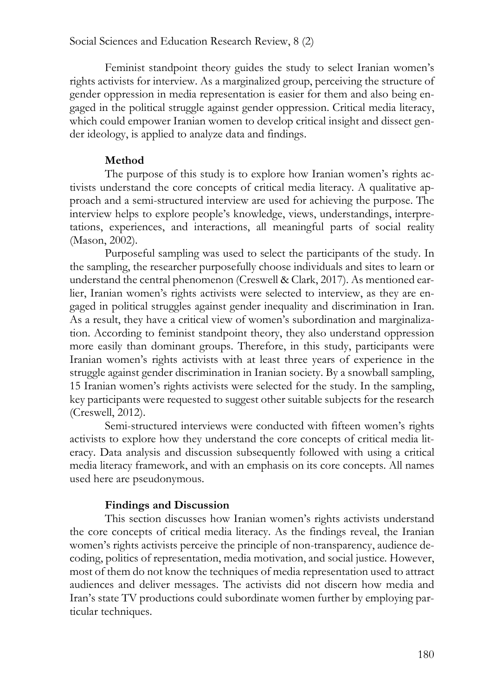Feminist standpoint theory guides the study to select Iranian women's rights activists for interview. As a marginalized group, perceiving the structure of gender oppression in media representation is easier for them and also being engaged in the political struggle against gender oppression. Critical media literacy, which could empower Iranian women to develop critical insight and dissect gender ideology, is applied to analyze data and findings.

#### **Method**

The purpose of this study is to explore how Iranian women's rights activists understand the core concepts of critical media literacy. A qualitative approach and a semi-structured interview are used for achieving the purpose. The interview helps to explore people's knowledge, views, understandings, interpretations, experiences, and interactions, all meaningful parts of social reality (Mason, 2002).

Purposeful sampling was used to select the participants of the study. In the sampling, the researcher purposefully choose individuals and sites to learn or understand the central phenomenon (Creswell & Clark, 2017). As mentioned earlier, Iranian women's rights activists were selected to interview, as they are engaged in political struggles against gender inequality and discrimination in Iran. As a result, they have a critical view of women's subordination and marginalization. According to feminist standpoint theory, they also understand oppression more easily than dominant groups. Therefore, in this study, participants were Iranian women's rights activists with at least three years of experience in the struggle against gender discrimination in Iranian society. By a snowball sampling, 15 Iranian women's rights activists were selected for the study. In the sampling, key participants were requested to suggest other suitable subjects for the research (Creswell, 2012).

Semi-structured interviews were conducted with fifteen women's rights activists to explore how they understand the core concepts of critical media literacy. Data analysis and discussion subsequently followed with using a critical media literacy framework, and with an emphasis on its core concepts. All names used here are pseudonymous.

## **Findings and Discussion**

This section discusses how Iranian women's rights activists understand the core concepts of critical media literacy. As the findings reveal, the Iranian women's rights activists perceive the principle of non-transparency, audience decoding, politics of representation, media motivation, and social justice. However, most of them do not know the techniques of media representation used to attract audiences and deliver messages. The activists did not discern how media and Iran's state TV productions could subordinate women further by employing particular techniques.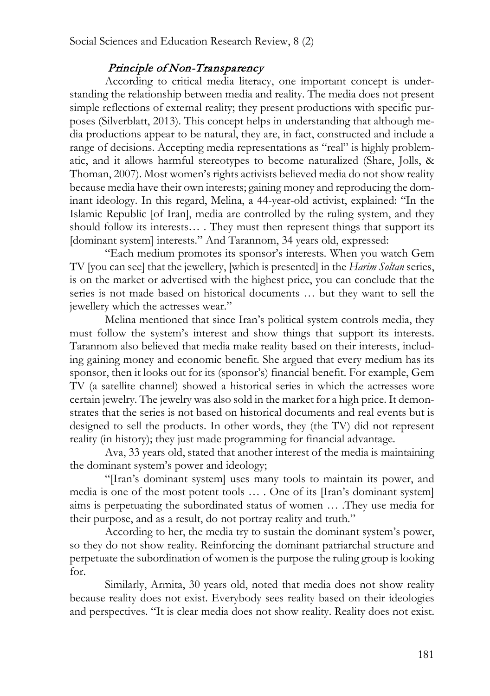## Principle of Non-Transparency

According to critical media literacy, one important concept is understanding the relationship between media and reality. The media does not present simple reflections of external reality; they present productions with specific purposes (Silverblatt, 2013). This concept helps in understanding that although media productions appear to be natural, they are, in fact, constructed and include a range of decisions. Accepting media representations as "real" is highly problematic, and it allows harmful stereotypes to become naturalized (Share, Jolls, & Thoman, 2007). Most women's rights activists believed media do not show reality because media have their own interests; gaining money and reproducing the dominant ideology. In this regard, Melina, a 44-year-old activist, explained: "In the Islamic Republic [of Iran], media are controlled by the ruling system, and they should follow its interests… . They must then represent things that support its [dominant system] interests." And Tarannom, 34 years old, expressed:

"Each medium promotes its sponsor's interests. When you watch Gem TV [you can see] that the jewellery, [which is presented] in the *Harim Soltan* series, is on the market or advertised with the highest price, you can conclude that the series is not made based on historical documents … but they want to sell the jewellery which the actresses wear."

Melina mentioned that since Iran's political system controls media, they must follow the system's interest and show things that support its interests. Tarannom also believed that media make reality based on their interests, including gaining money and economic benefit. She argued that every medium has its sponsor, then it looks out for its (sponsor's) financial benefit. For example, Gem TV (a satellite channel) showed a historical series in which the actresses wore certain jewelry. The jewelry was also sold in the market for a high price. It demonstrates that the series is not based on historical documents and real events but is designed to sell the products. In other words, they (the TV) did not represent reality (in history); they just made programming for financial advantage.

Ava, 33 years old, stated that another interest of the media is maintaining the dominant system's power and ideology;

"[Iran's dominant system] uses many tools to maintain its power, and media is one of the most potent tools … . One of its [Iran's dominant system] aims is perpetuating the subordinated status of women … .They use media for their purpose, and as a result, do not portray reality and truth."

According to her, the media try to sustain the dominant system's power, so they do not show reality. Reinforcing the dominant patriarchal structure and perpetuate the subordination of women is the purpose the ruling group is looking for.

Similarly, Armita, 30 years old, noted that media does not show reality because reality does not exist. Everybody sees reality based on their ideologies and perspectives. "It is clear media does not show reality. Reality does not exist.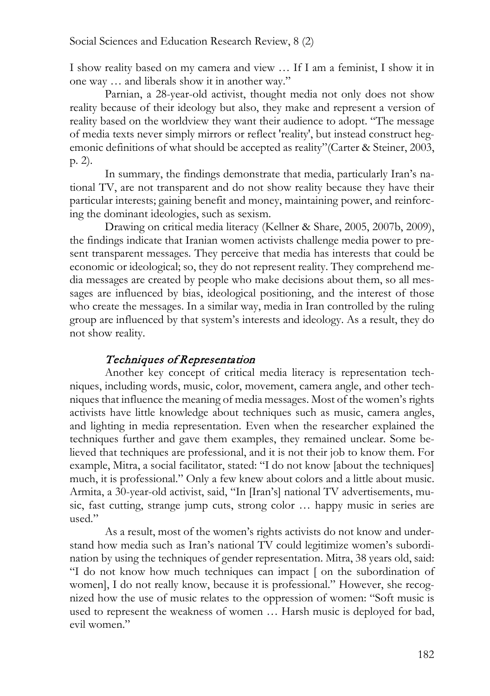I show reality based on my camera and view … If I am a feminist, I show it in one way … and liberals show it in another way."

Parnian, a 28-year-old activist, thought media not only does not show reality because of their ideology but also, they make and represent a version of reality based on the worldview they want their audience to adopt. "The message of media texts never simply mirrors or reflect 'reality', but instead construct hegemonic definitions of what should be accepted as reality"(Carter & Steiner, 2003, p. 2).

In summary, the findings demonstrate that media, particularly Iran's national TV, are not transparent and do not show reality because they have their particular interests; gaining benefit and money, maintaining power, and reinforcing the dominant ideologies, such as sexism.

Drawing on critical media literacy (Kellner & Share, 2005, 2007b, 2009), the findings indicate that Iranian women activists challenge media power to present transparent messages. They perceive that media has interests that could be economic or ideological; so, they do not represent reality. They comprehend media messages are created by people who make decisions about them, so all messages are influenced by bias, ideological positioning, and the interest of those who create the messages. In a similar way, media in Iran controlled by the ruling group are influenced by that system's interests and ideology. As a result, they do not show reality.

## Techniques of Representation

Another key concept of critical media literacy is representation techniques, including words, music, color, movement, camera angle, and other techniques that influence the meaning of media messages. Most of the women's rights activists have little knowledge about techniques such as music, camera angles, and lighting in media representation. Even when the researcher explained the techniques further and gave them examples, they remained unclear. Some believed that techniques are professional, and it is not their job to know them. For example, Mitra, a social facilitator, stated: "I do not know [about the techniques] much, it is professional." Only a few knew about colors and a little about music. Armita, a 30-year-old activist, said, "In [Iran's] national TV advertisements, music, fast cutting, strange jump cuts, strong color … happy music in series are used."

As a result, most of the women's rights activists do not know and understand how media such as Iran's national TV could legitimize women's subordination by using the techniques of gender representation. Mitra, 38 years old, said: "I do not know how much techniques can impact [ on the subordination of women], I do not really know, because it is professional." However, she recognized how the use of music relates to the oppression of women: "Soft music is used to represent the weakness of women … Harsh music is deployed for bad, evil women."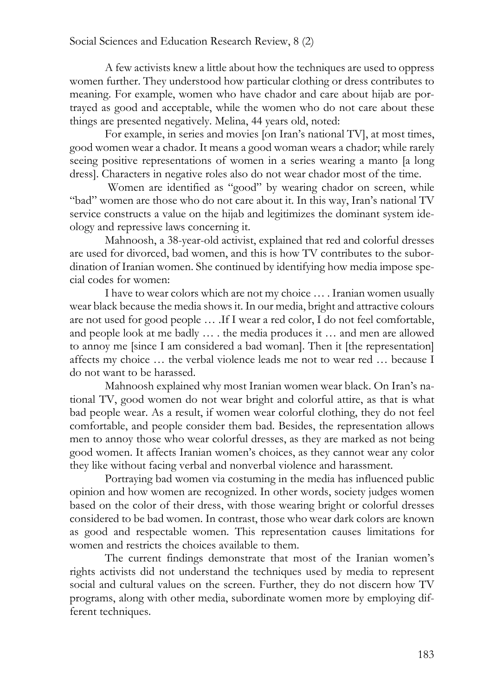A few activists knew a little about how the techniques are used to oppress women further. They understood how particular clothing or dress contributes to meaning. For example, women who have chador and care about hijab are portrayed as good and acceptable, while the women who do not care about these things are presented negatively. Melina, 44 years old, noted:

For example, in series and movies [on Iran's national TV], at most times, good women wear a chador. It means a good woman wears a chador; while rarely seeing positive representations of women in a series wearing a manto [a long dress]. Characters in negative roles also do not wear chador most of the time.

Women are identified as "good" by wearing chador on screen, while "bad" women are those who do not care about it. In this way, Iran's national TV service constructs a value on the hijab and legitimizes the dominant system ideology and repressive laws concerning it.

Mahnoosh, a 38-year-old activist, explained that red and colorful dresses are used for divorced, bad women, and this is how TV contributes to the subordination of Iranian women. She continued by identifying how media impose special codes for women:

I have to wear colors which are not my choice … . Iranian women usually wear black because the media shows it. In our media, bright and attractive colours are not used for good people … .If I wear a red color, I do not feel comfortable, and people look at me badly … . the media produces it … and men are allowed to annoy me [since I am considered a bad woman]. Then it [the representation] affects my choice … the verbal violence leads me not to wear red … because I do not want to be harassed.

Mahnoosh explained why most Iranian women wear black. On Iran's national TV, good women do not wear bright and colorful attire, as that is what bad people wear. As a result, if women wear colorful clothing, they do not feel comfortable, and people consider them bad. Besides, the representation allows men to annoy those who wear colorful dresses, as they are marked as not being good women. It affects Iranian women's choices, as they cannot wear any color they like without facing verbal and nonverbal violence and harassment.

Portraying bad women via costuming in the media has influenced public opinion and how women are recognized. In other words, society judges women based on the color of their dress, with those wearing bright or colorful dresses considered to be bad women. In contrast, those who wear dark colors are known as good and respectable women. This representation causes limitations for women and restricts the choices available to them.

The current findings demonstrate that most of the Iranian women's rights activists did not understand the techniques used by media to represent social and cultural values on the screen. Further, they do not discern how TV programs, along with other media, subordinate women more by employing different techniques.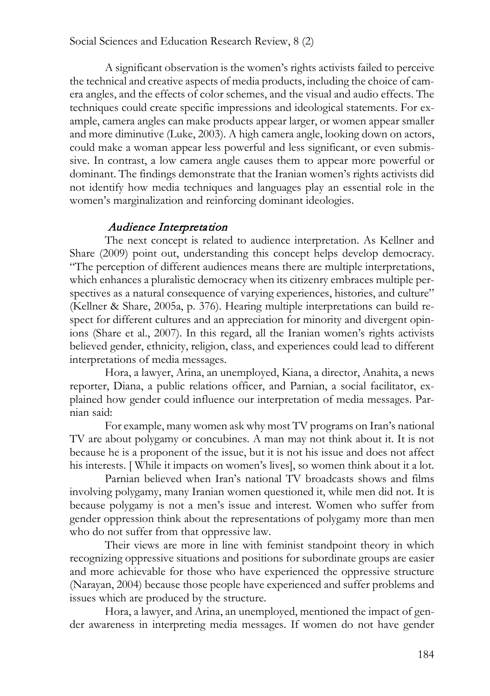A significant observation is the women's rights activists failed to perceive the technical and creative aspects of media products, including the choice of camera angles, and the effects of color schemes, and the visual and audio effects. The techniques could create specific impressions and ideological statements. For example, camera angles can make products appear larger, or women appear smaller and more diminutive (Luke, 2003). A high camera angle, looking down on actors, could make a woman appear less powerful and less significant, or even submissive. In contrast, a low camera angle causes them to appear more powerful or dominant. The findings demonstrate that the Iranian women's rights activists did not identify how media techniques and languages play an essential role in the women's marginalization and reinforcing dominant ideologies.

#### Audience Interpretation

The next concept is related to audience interpretation. As Kellner and Share (2009) point out, understanding this concept helps develop democracy. "The perception of different audiences means there are multiple interpretations, which enhances a pluralistic democracy when its citizenry embraces multiple perspectives as a natural consequence of varying experiences, histories, and culture" (Kellner & Share, 2005a, p. 376). Hearing multiple interpretations can build respect for different cultures and an appreciation for minority and divergent opinions (Share et al., 2007). In this regard, all the Iranian women's rights activists believed gender, ethnicity, religion, class, and experiences could lead to different interpretations of media messages.

Hora, a lawyer, Arina, an unemployed, Kiana, a director, Anahita, a news reporter, Diana, a public relations officer, and Parnian, a social facilitator, explained how gender could influence our interpretation of media messages. Parnian said:

For example, many women ask why most TV programs on Iran's national TV are about polygamy or concubines. A man may not think about it. It is not because he is a proponent of the issue, but it is not his issue and does not affect his interests. [ While it impacts on women's lives], so women think about it a lot.

Parnian believed when Iran's national TV broadcasts shows and films involving polygamy, many Iranian women questioned it, while men did not. It is because polygamy is not a men's issue and interest. Women who suffer from gender oppression think about the representations of polygamy more than men who do not suffer from that oppressive law.

Their views are more in line with feminist standpoint theory in which recognizing oppressive situations and positions for subordinate groups are easier and more achievable for those who have experienced the oppressive structure (Narayan, 2004) because those people have experienced and suffer problems and issues which are produced by the structure.

Hora, a lawyer, and Arina, an unemployed, mentioned the impact of gender awareness in interpreting media messages. If women do not have gender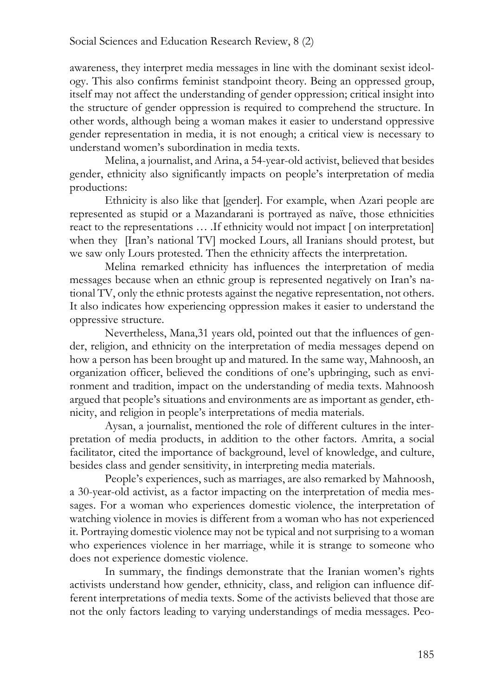awareness, they interpret media messages in line with the dominant sexist ideology. This also confirms feminist standpoint theory. Being an oppressed group, itself may not affect the understanding of gender oppression; critical insight into the structure of gender oppression is required to comprehend the structure. In other words, although being a woman makes it easier to understand oppressive gender representation in media, it is not enough; a critical view is necessary to understand women's subordination in media texts.

Melina, a journalist, and Arina, a 54-year-old activist, believed that besides gender, ethnicity also significantly impacts on people's interpretation of media productions:

Ethnicity is also like that [gender]. For example, when Azari people are represented as stupid or a Mazandarani is portrayed as naïve, those ethnicities react to the representations … .If ethnicity would not impact [ on interpretation] when they [Iran's national TV] mocked Lours, all Iranians should protest, but we saw only Lours protested. Then the ethnicity affects the interpretation.

Melina remarked ethnicity has influences the interpretation of media messages because when an ethnic group is represented negatively on Iran's national TV, only the ethnic protests against the negative representation, not others. It also indicates how experiencing oppression makes it easier to understand the oppressive structure.

Nevertheless, Mana,31 years old, pointed out that the influences of gender, religion, and ethnicity on the interpretation of media messages depend on how a person has been brought up and matured. In the same way, Mahnoosh, an organization officer, believed the conditions of one's upbringing, such as environment and tradition, impact on the understanding of media texts. Mahnoosh argued that people's situations and environments are as important as gender, ethnicity, and religion in people's interpretations of media materials.

Aysan, a journalist, mentioned the role of different cultures in the interpretation of media products, in addition to the other factors. Amrita, a social facilitator, cited the importance of background, level of knowledge, and culture, besides class and gender sensitivity, in interpreting media materials.

People's experiences, such as marriages, are also remarked by Mahnoosh, a 30-year-old activist, as a factor impacting on the interpretation of media messages. For a woman who experiences domestic violence, the interpretation of watching violence in movies is different from a woman who has not experienced it. Portraying domestic violence may not be typical and not surprising to a woman who experiences violence in her marriage, while it is strange to someone who does not experience domestic violence.

In summary, the findings demonstrate that the Iranian women's rights activists understand how gender, ethnicity, class, and religion can influence different interpretations of media texts. Some of the activists believed that those are not the only factors leading to varying understandings of media messages. Peo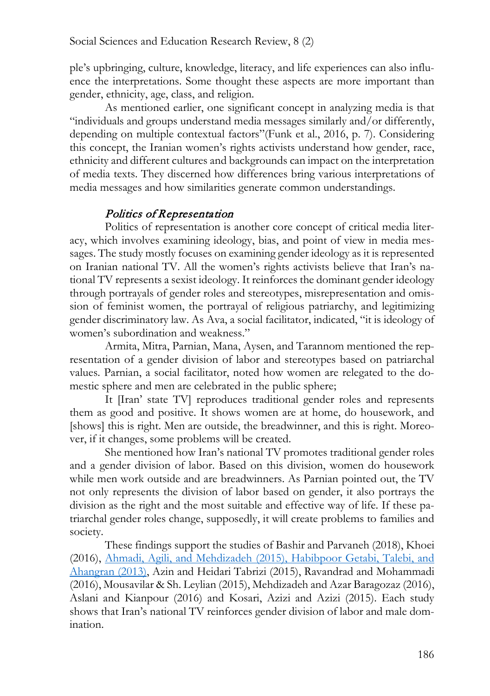ple's upbringing, culture, knowledge, literacy, and life experiences can also influence the interpretations. Some thought these aspects are more important than gender, ethnicity, age, class, and religion.

As mentioned earlier, one significant concept in analyzing media is that "individuals and groups understand media messages similarly and/or differently, depending on multiple contextual factors"(Funk et al., 2016, p. 7). Considering this concept, the Iranian women's rights activists understand how gender, race, ethnicity and different cultures and backgrounds can impact on the interpretation of media texts. They discerned how differences bring various interpretations of media messages and how similarities generate common understandings.

# Politics of Representation

Politics of representation is another core concept of critical media literacy, which involves examining ideology, bias, and point of view in media messages. The study mostly focuses on examining gender ideology as it is represented on Iranian national TV. All the women's rights activists believe that Iran's national TV represents a sexist ideology. It reinforces the dominant gender ideology through portrayals of gender roles and stereotypes, misrepresentation and omission of feminist women, the portrayal of religious patriarchy, and legitimizing gender discriminatory law. As Ava, a social facilitator, indicated, "it is ideology of women's subordination and weakness."

Armita, Mitra, Parnian, Mana, Aysen, and Tarannom mentioned the representation of a gender division of labor and stereotypes based on patriarchal values. Parnian, a social facilitator, noted how women are relegated to the domestic sphere and men are celebrated in the public sphere;

It [Iran' state TV] reproduces traditional gender roles and represents them as good and positive. It shows women are at home, do housework, and [shows] this is right. Men are outside, the breadwinner, and this is right. Moreover, if it changes, some problems will be created.

She mentioned how Iran's national TV promotes traditional gender roles and a gender division of labor. Based on this division, women do housework while men work outside and are breadwinners. As Parnian pointed out, the TV not only represents the division of labor based on gender, it also portrays the division as the right and the most suitable and effective way of life. If these patriarchal gender roles change, supposedly, it will create problems to families and society.

These findings support the studies of Bashir and Parvaneh (2018), Khoei (2016), Ahmadi, Agili, and Mehdizadeh (2015), Habibpoor Getabi, Talebi, and Ahangran (2013), Azin and Heidari Tabrizi (2015), Ravandrad and Mohammadi (2016), Mousavilar & Sh. Leylian (2015), Mehdizadeh and Azar Baragozaz (2016), Aslani and Kianpour (2016) and Kosari, Azizi and Azizi (2015). Each study shows that Iran's national TV reinforces gender division of labor and male domination.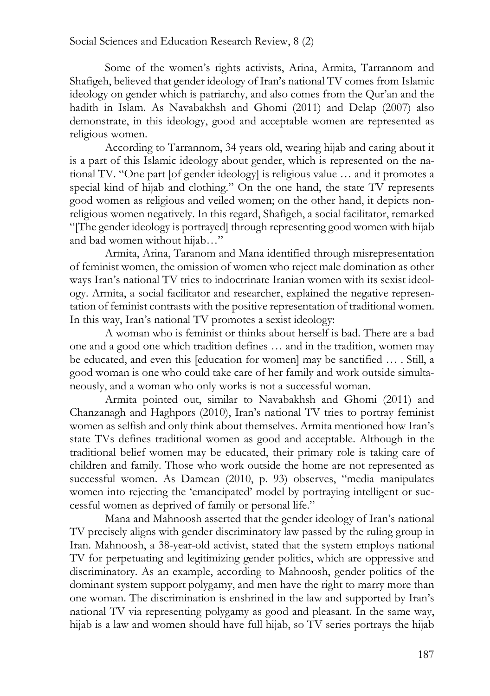Some of the women's rights activists, Arina, Armita, Tarrannom and Shafigeh, believed that gender ideology of Iran's national TV comes from Islamic ideology on gender which is patriarchy, and also comes from the Qur'an and the hadith in Islam. As Navabakhsh and Ghomi (2011) and Delap (2007) also demonstrate, in this ideology, good and acceptable women are represented as religious women.

According to Tarrannom, 34 years old, wearing hijab and caring about it is a part of this Islamic ideology about gender, which is represented on the national TV. "One part [of gender ideology] is religious value … and it promotes a special kind of hijab and clothing." On the one hand, the state TV represents good women as religious and veiled women; on the other hand, it depicts nonreligious women negatively. In this regard, Shafigeh, a social facilitator, remarked "[The gender ideology is portrayed] through representing good women with hijab and bad women without hijab…"

Armita, Arina, Taranom and Mana identified through misrepresentation of feminist women, the omission of women who reject male domination as other ways Iran's national TV tries to indoctrinate Iranian women with its sexist ideology. Armita, a social facilitator and researcher, explained the negative representation of feminist contrasts with the positive representation of traditional women. In this way, Iran's national TV promotes a sexist ideology:

A woman who is feminist or thinks about herself is bad. There are a bad one and a good one which tradition defines … and in the tradition, women may be educated, and even this [education for women] may be sanctified … . Still, a good woman is one who could take care of her family and work outside simultaneously, and a woman who only works is not a successful woman.

Armita pointed out, similar to Navabakhsh and Ghomi (2011) and Chanzanagh and Haghpors (2010), Iran's national TV tries to portray feminist women as selfish and only think about themselves. Armita mentioned how Iran's state TVs defines traditional women as good and acceptable. Although in the traditional belief women may be educated, their primary role is taking care of children and family. Those who work outside the home are not represented as successful women. As Damean (2010, p. 93) observes, "media manipulates women into rejecting the 'emancipated' model by portraying intelligent or successful women as deprived of family or personal life."

Mana and Mahnoosh asserted that the gender ideology of Iran's national TV precisely aligns with gender discriminatory law passed by the ruling group in Iran. Mahnoosh, a 38-year-old activist, stated that the system employs national TV for perpetuating and legitimizing gender politics, which are oppressive and discriminatory. As an example, according to Mahnoosh, gender politics of the dominant system support polygamy, and men have the right to marry more than one woman. The discrimination is enshrined in the law and supported by Iran's national TV via representing polygamy as good and pleasant. In the same way, hijab is a law and women should have full hijab, so TV series portrays the hijab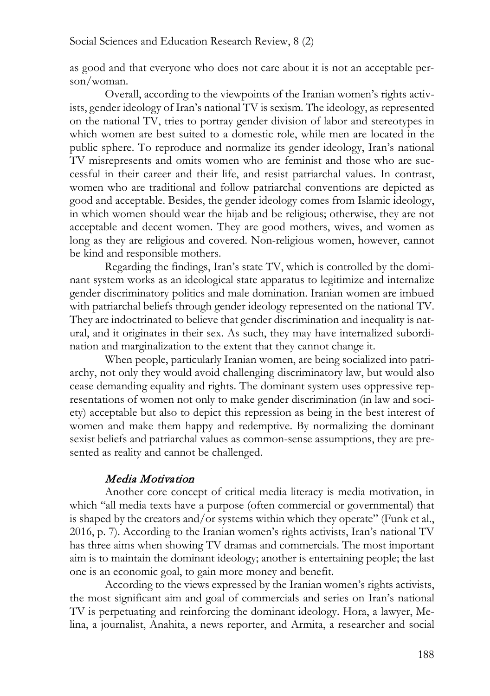as good and that everyone who does not care about it is not an acceptable person/woman.

Overall, according to the viewpoints of the Iranian women's rights activists, gender ideology of Iran's national TV is sexism. The ideology, as represented on the national TV, tries to portray gender division of labor and stereotypes in which women are best suited to a domestic role, while men are located in the public sphere. To reproduce and normalize its gender ideology, Iran's national TV misrepresents and omits women who are feminist and those who are successful in their career and their life, and resist patriarchal values. In contrast, women who are traditional and follow patriarchal conventions are depicted as good and acceptable. Besides, the gender ideology comes from Islamic ideology, in which women should wear the hijab and be religious; otherwise, they are not acceptable and decent women. They are good mothers, wives, and women as long as they are religious and covered. Non-religious women, however, cannot be kind and responsible mothers.

Regarding the findings, Iran's state TV, which is controlled by the dominant system works as an ideological state apparatus to legitimize and internalize gender discriminatory politics and male domination. Iranian women are imbued with patriarchal beliefs through gender ideology represented on the national TV. They are indoctrinated to believe that gender discrimination and inequality is natural, and it originates in their sex. As such, they may have internalized subordination and marginalization to the extent that they cannot change it.

When people, particularly Iranian women, are being socialized into patriarchy, not only they would avoid challenging discriminatory law, but would also cease demanding equality and rights. The dominant system uses oppressive representations of women not only to make gender discrimination (in law and society) acceptable but also to depict this repression as being in the best interest of women and make them happy and redemptive. By normalizing the dominant sexist beliefs and patriarchal values as common-sense assumptions, they are presented as reality and cannot be challenged.

## Media Motivation

Another core concept of critical media literacy is media motivation, in which "all media texts have a purpose (often commercial or governmental) that is shaped by the creators and/or systems within which they operate" (Funk et al., 2016, p. 7). According to the Iranian women's rights activists, Iran's national TV has three aims when showing TV dramas and commercials. The most important aim is to maintain the dominant ideology; another is entertaining people; the last one is an economic goal, to gain more money and benefit.

According to the views expressed by the Iranian women's rights activists, the most significant aim and goal of commercials and series on Iran's national TV is perpetuating and reinforcing the dominant ideology. Hora, a lawyer, Melina, a journalist, Anahita, a news reporter, and Armita, a researcher and social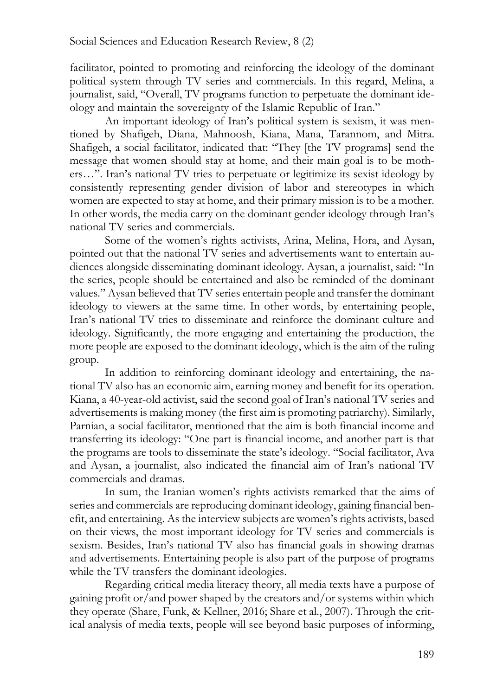facilitator, pointed to promoting and reinforcing the ideology of the dominant political system through TV series and commercials. In this regard, Melina, a journalist, said, "Overall, TV programs function to perpetuate the dominant ideology and maintain the sovereignty of the Islamic Republic of Iran."

An important ideology of Iran's political system is sexism, it was mentioned by Shafigeh, Diana, Mahnoosh, Kiana, Mana, Tarannom, and Mitra. Shafigeh, a social facilitator, indicated that: "They [the TV programs] send the message that women should stay at home, and their main goal is to be mothers…". Iran's national TV tries to perpetuate or legitimize its sexist ideology by consistently representing gender division of labor and stereotypes in which women are expected to stay at home, and their primary mission is to be a mother. In other words, the media carry on the dominant gender ideology through Iran's national TV series and commercials.

Some of the women's rights activists, Arina, Melina, Hora, and Aysan, pointed out that the national TV series and advertisements want to entertain audiences alongside disseminating dominant ideology. Aysan, a journalist, said: "In the series, people should be entertained and also be reminded of the dominant values." Aysan believed that TV series entertain people and transfer the dominant ideology to viewers at the same time. In other words, by entertaining people, Iran's national TV tries to disseminate and reinforce the dominant culture and ideology. Significantly, the more engaging and entertaining the production, the more people are exposed to the dominant ideology, which is the aim of the ruling group.

In addition to reinforcing dominant ideology and entertaining, the national TV also has an economic aim, earning money and benefit for its operation. Kiana, a 40-year-old activist, said the second goal of Iran's national TV series and advertisements is making money (the first aim is promoting patriarchy). Similarly, Parnian, a social facilitator, mentioned that the aim is both financial income and transferring its ideology: "One part is financial income, and another part is that the programs are tools to disseminate the state's ideology. "Social facilitator, Ava and Aysan, a journalist, also indicated the financial aim of Iran's national TV commercials and dramas.

In sum, the Iranian women's rights activists remarked that the aims of series and commercials are reproducing dominant ideology, gaining financial benefit, and entertaining. As the interview subjects are women's rights activists, based on their views, the most important ideology for TV series and commercials is sexism. Besides, Iran's national TV also has financial goals in showing dramas and advertisements. Entertaining people is also part of the purpose of programs while the TV transfers the dominant ideologies.

Regarding critical media literacy theory, all media texts have a purpose of gaining profit or/and power shaped by the creators and/or systems within which they operate (Share, Funk, & Kellner, 2016; Share et al., 2007). Through the critical analysis of media texts, people will see beyond basic purposes of informing,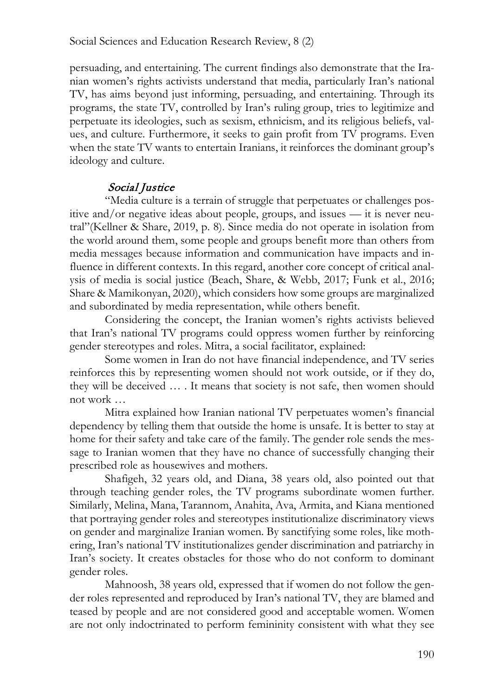persuading, and entertaining. The current findings also demonstrate that the Iranian women's rights activists understand that media, particularly Iran's national TV, has aims beyond just informing, persuading, and entertaining. Through its programs, the state TV, controlled by Iran's ruling group, tries to legitimize and perpetuate its ideologies, such as sexism, ethnicism, and its religious beliefs, values, and culture. Furthermore, it seeks to gain profit from TV programs. Even when the state TV wants to entertain Iranians, it reinforces the dominant group's ideology and culture.

# Social Justice

"Media culture is a terrain of struggle that perpetuates or challenges positive and/or negative ideas about people, groups, and issues — it is never neutral"(Kellner & Share, 2019, p. 8). Since media do not operate in isolation from the world around them, some people and groups benefit more than others from media messages because information and communication have impacts and influence in different contexts. In this regard, another core concept of critical analysis of media is social justice (Beach, Share, & Webb, 2017; Funk et al., 2016; Share & Mamikonyan, 2020), which considers how some groups are marginalized and subordinated by media representation, while others benefit.

Considering the concept, the Iranian women's rights activists believed that Iran's national TV programs could oppress women further by reinforcing gender stereotypes and roles. Mitra, a social facilitator, explained:

Some women in Iran do not have financial independence, and TV series reinforces this by representing women should not work outside, or if they do, they will be deceived … . It means that society is not safe, then women should not work …

Mitra explained how Iranian national TV perpetuates women's financial dependency by telling them that outside the home is unsafe. It is better to stay at home for their safety and take care of the family. The gender role sends the message to Iranian women that they have no chance of successfully changing their prescribed role as housewives and mothers.

Shafigeh, 32 years old, and Diana, 38 years old, also pointed out that through teaching gender roles, the TV programs subordinate women further. Similarly, Melina, Mana, Tarannom, Anahita, Ava, Armita, and Kiana mentioned that portraying gender roles and stereotypes institutionalize discriminatory views on gender and marginalize Iranian women. By sanctifying some roles, like mothering, Iran's national TV institutionalizes gender discrimination and patriarchy in Iran's society. It creates obstacles for those who do not conform to dominant gender roles.

Mahnoosh, 38 years old, expressed that if women do not follow the gender roles represented and reproduced by Iran's national TV, they are blamed and teased by people and are not considered good and acceptable women. Women are not only indoctrinated to perform femininity consistent with what they see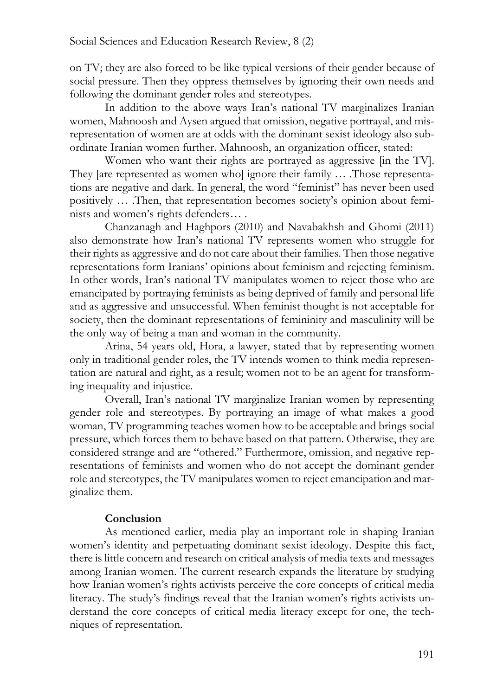on TV; they are also forced to be like typical versions of their gender because of social pressure. Then they oppress themselves by ignoring their own needs and following the dominant gender roles and stereotypes.

In addition to the above ways Iran's national TV marginalizes Iranian women, Mahnoosh and Aysen argued that omission, negative portrayal, and misrepresentation of women are at odds with the dominant sexist ideology also subordinate Iranian women further. Mahnoosh, an organization officer, stated:

Women who want their rights are portrayed as aggressive [in the TV]. They [are represented as women who] ignore their family … .Those representations are negative and dark. In general, the word "feminist" has never been used positively … .Then, that representation becomes society's opinion about feminists and women's rights defenders… .

Chanzanagh and Haghpors (2010) and Navabakhsh and Ghomi (2011) also demonstrate how Iran's national TV represents women who struggle for their rights as aggressive and do not care about their families. Then those negative representations form Iranians' opinions about feminism and rejecting feminism. In other words, Iran's national TV manipulates women to reject those who are emancipated by portraying feminists as being deprived of family and personal life and as aggressive and unsuccessful. When feminist thought is not acceptable for society, then the dominant representations of femininity and masculinity will be the only way of being a man and woman in the community.

Arina, 54 years old, Hora, a lawyer, stated that by representing women only in traditional gender roles, the TV intends women to think media representation are natural and right, as a result; women not to be an agent for transforming inequality and injustice.

Overall, Iran's national TV marginalize Iranian women by representing gender role and stereotypes. By portraying an image of what makes a good woman, TV programming teaches women how to be acceptable and brings social pressure, which forces them to behave based on that pattern. Otherwise, they are considered strange and are "othered." Furthermore, omission, and negative representations of feminists and women who do not accept the dominant gender role and stereotypes, the TV manipulates women to reject emancipation and marginalize them.

#### **Conclusion**

As mentioned earlier, media play an important role in shaping Iranian women's identity and perpetuating dominant sexist ideology. Despite this fact, there is little concern and research on critical analysis of media texts and messages among Iranian women. The current research expands the literature by studying how Iranian women's rights activists perceive the core concepts of critical media literacy. The study's findings reveal that the Iranian women's rights activists understand the core concepts of critical media literacy except for one, the techniques of representation.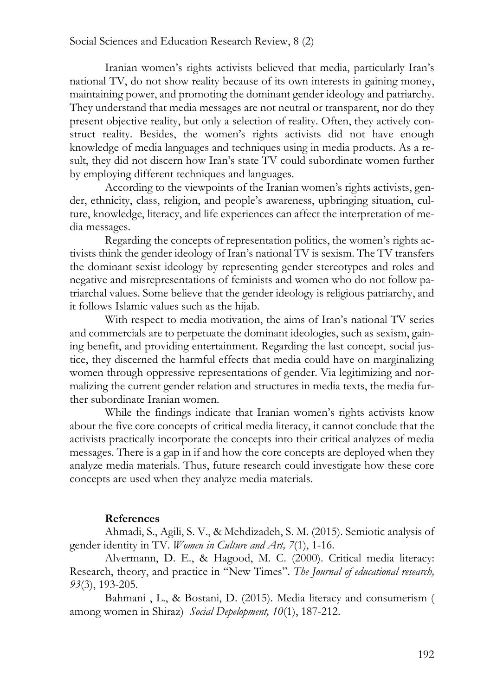Iranian women's rights activists believed that media, particularly Iran's national TV, do not show reality because of its own interests in gaining money, maintaining power, and promoting the dominant gender ideology and patriarchy. They understand that media messages are not neutral or transparent, nor do they present objective reality, but only a selection of reality. Often, they actively construct reality. Besides, the women's rights activists did not have enough knowledge of media languages and techniques using in media products. As a result, they did not discern how Iran's state TV could subordinate women further by employing different techniques and languages.

According to the viewpoints of the Iranian women's rights activists, gender, ethnicity, class, religion, and people's awareness, upbringing situation, culture, knowledge, literacy, and life experiences can affect the interpretation of media messages.

Regarding the concepts of representation politics, the women's rights activists think the gender ideology of Iran's national TV is sexism. The TV transfers the dominant sexist ideology by representing gender stereotypes and roles and negative and misrepresentations of feminists and women who do not follow patriarchal values. Some believe that the gender ideology is religious patriarchy, and it follows Islamic values such as the hijab.

With respect to media motivation, the aims of Iran's national TV series and commercials are to perpetuate the dominant ideologies, such as sexism, gaining benefit, and providing entertainment. Regarding the last concept, social justice, they discerned the harmful effects that media could have on marginalizing women through oppressive representations of gender. Via legitimizing and normalizing the current gender relation and structures in media texts, the media further subordinate Iranian women.

While the findings indicate that Iranian women's rights activists know about the five core concepts of critical media literacy, it cannot conclude that the activists practically incorporate the concepts into their critical analyzes of media messages. There is a gap in if and how the core concepts are deployed when they analyze media materials. Thus, future research could investigate how these core concepts are used when they analyze media materials.

#### **References**

Ahmadi, S., Agili, S. V., & Mehdizadeh, S. M. (2015). Semiotic analysis of gender identity in TV. *Women in Culture and Art, 7*(1), 1-16.

Alvermann, D. E., & Hagood, M. C. (2000). Critical media literacy: Research, theory, and practice in "New Times". *The Journal of educational research, 93*(3), 193-205.

Bahmani , L., & Bostani, D. (2015). Media literacy and consumerism ( among women in Shiraz) *Social Depelopment, 10*(1), 187-212.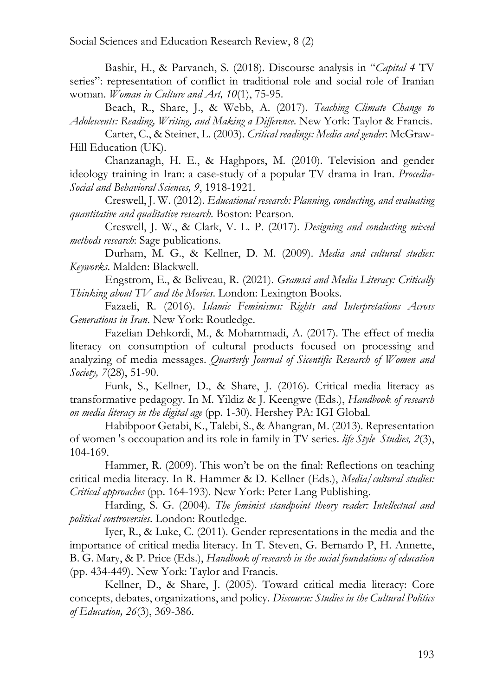Bashir, H., & Parvaneh, S. (2018). Discourse analysis in "*Capital 4* TV series": representation of conflict in traditional role and social role of Iranian woman. *Woman in Culture and Art, 10*(1), 75-95.

Beach, R., Share, J., & Webb, A. (2017). *Teaching Climate Change to Adolescents: Reading, Writing, and Making a Difference*. New York: Taylor & Francis.

Carter, C., & Steiner, L. (2003). *Critical readings: Media and gender*: McGraw-Hill Education (UK).

Chanzanagh, H. E., & Haghpors, M. (2010). Television and gender ideology training in Iran: a case-study of a popular TV drama in Iran. *Procedia-Social and Behavioral Sciences, 9*, 1918-1921.

Creswell, J. W. (2012). *Educational research: Planning, conducting, and evaluating quantitative and qualitative research*. Boston: Pearson.

Creswell, J. W., & Clark, V. L. P. (2017). *Designing and conducting mixed methods research*: Sage publications.

Durham, M. G., & Kellner, D. M. (2009). *Media and cultural studies: Keyworks*. Malden: Blackwell.

Engstrom, E., & Beliveau, R. (2021). *Gramsci and Media Literacy: Critically Thinking about TV and the Movies*. London: Lexington Books.

Fazaeli, R. (2016). *Islamic Feminisms: Rights and Interpretations Across Generations in Iran*. New York: Routledge.

Fazelian Dehkordi, M., & Mohammadi, A. (2017). The effect of media literacy on consumption of cultural products focused on processing and analyzing of media messages. *Quarterly Journal of Sicentific Research of Women and Society, 7*(28), 51-90.

Funk, S., Kellner, D., & Share, J. (2016). Critical media literacy as transformative pedagogy. In M. Yildiz & J. Keengwe (Eds.), *Handbook of research on media literacy in the digital age* (pp. 1-30). Hershey PA: IGI Global.

Habibpoor Getabi, K., Talebi, S., & Ahangran, M. (2013). Representation of women 's occoupation and its role in family in TV series. *life Style Studies, 2*(3), 104-169.

Hammer, R. (2009). This won't be on the final: Reflections on teaching critical media literacy. In R. Hammer & D. Kellner (Eds.), *Media/cultural studies: Critical approaches* (pp. 164-193). New York: Peter Lang Publishing.

Harding, S. G. (2004). *The feminist standpoint theory reader: Intellectual and political controversies*. London: Routledge.

Iyer, R., & Luke, C. (2011). Gender representations in the media and the importance of critical media literacy. In T. Steven, G. Bernardo P, H. Annette, B. G. Mary, & P. Price (Eds.), *Handbook of research in the social foundations of education* (pp. 434-449). New York: Taylor and Francis.

Kellner, D., & Share, J. (2005). Toward critical media literacy: Core concepts, debates, organizations, and policy. *Discourse: Studies in the Cultural Politics of Education, 26*(3), 369-386.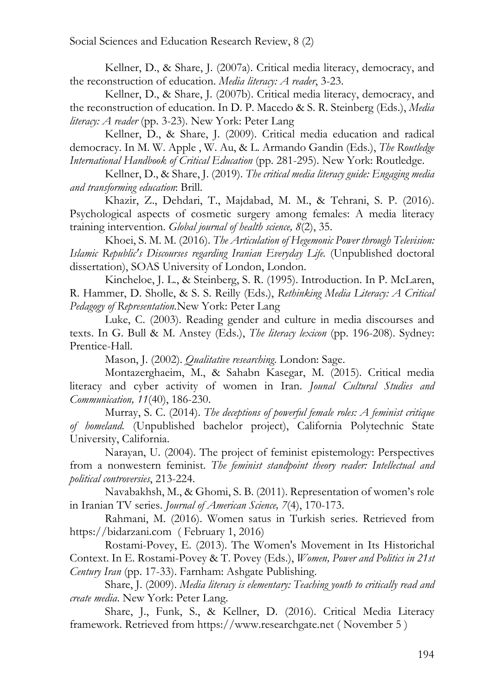Kellner, D., & Share, J. (2007a). Critical media literacy, democracy, and the reconstruction of education. *Media literacy: A reader*, 3-23.

Kellner, D., & Share, J. (2007b). Critical media literacy, democracy, and the reconstruction of education. In D. P. Macedo & S. R. Steinberg (Eds.), *Media literacy: A reader* (pp. 3-23). New York: Peter Lang

Kellner, D., & Share, J. (2009). Critical media education and radical democracy. In M. W. Apple , W. Au, & L. Armando Gandin (Eds.), *The Routledge International Handbook of Critical Education* (pp. 281-295). New York: Routledge.

Kellner, D., & Share, J. (2019). *The critical media literacy guide: Engaging media and transforming education*: Brill.

Khazir, Z., Dehdari, T., Majdabad, M. M., & Tehrani, S. P. (2016). Psychological aspects of cosmetic surgery among females: A media literacy training intervention. *Global journal of health science, 8*(2), 35.

Khoei, S. M. M. (2016). *The Articulation of Hegemonic Power through Television: Islamic Republic's Discourses regarding Iranian Everyday Life.* (Unpublished doctoral dissertation), SOAS University of London, London.

Kincheloe, J. L., & Steinberg, S. R. (1995). Introduction. In P. McLaren, R. Hammer, D. Sholle, & S. S. Reilly (Eds.), *Rethinking Media Literacy: A Critical Pedagogy of Representation.*New York: Peter Lang

Luke, C. (2003). Reading gender and culture in media discourses and texts. In G. Bull & M. Anstey (Eds.), *The literacy lexicon* (pp. 196-208). Sydney: Prentice-Hall.

Mason, J. (2002). *Qualitative researching*. London: Sage.

Montazerghaeim, M., & Sahabn Kasegar, M. (2015). Critical media literacy and cyber activity of women in Iran. *Jounal Cultural Studies and Communication, 11*(40), 186-230.

Murray, S. C. (2014). *The deceptions of powerful female roles: A feminist critique of homeland.* (Unpublished bachelor project), California Polytechnic State University, California.

Narayan, U. (2004). The project of feminist epistemology: Perspectives from a nonwestern feminist. *The feminist standpoint theory reader: Intellectual and political controversies*, 213-224.

Navabakhsh, M., & Ghomi, S. B. (2011). Representation of women's role in Iranian TV series. *Journal of American Science, 7*(4), 170-173.

Rahmani, M. (2016). Women satus in Turkish series. Retrieved from https://bidarzani.com ( February 1, 2016)

Rostami-Povey, E. (2013). The Women's Movement in Its Historichal Context. In E. Rostami-Povey & T. Povey (Eds.), *Women, Power and Politics in 21st Century Iran* (pp. 17-33). Farnham: Ashgate Publishing.

Share, J. (2009). *Media literacy is elementary: Teaching youth to critically read and create media*. New York: Peter Lang.

Share, J., Funk, S., & Kellner, D. (2016). Critical Media Literacy framework. Retrieved from https://www.researchgate.net ( November 5 )